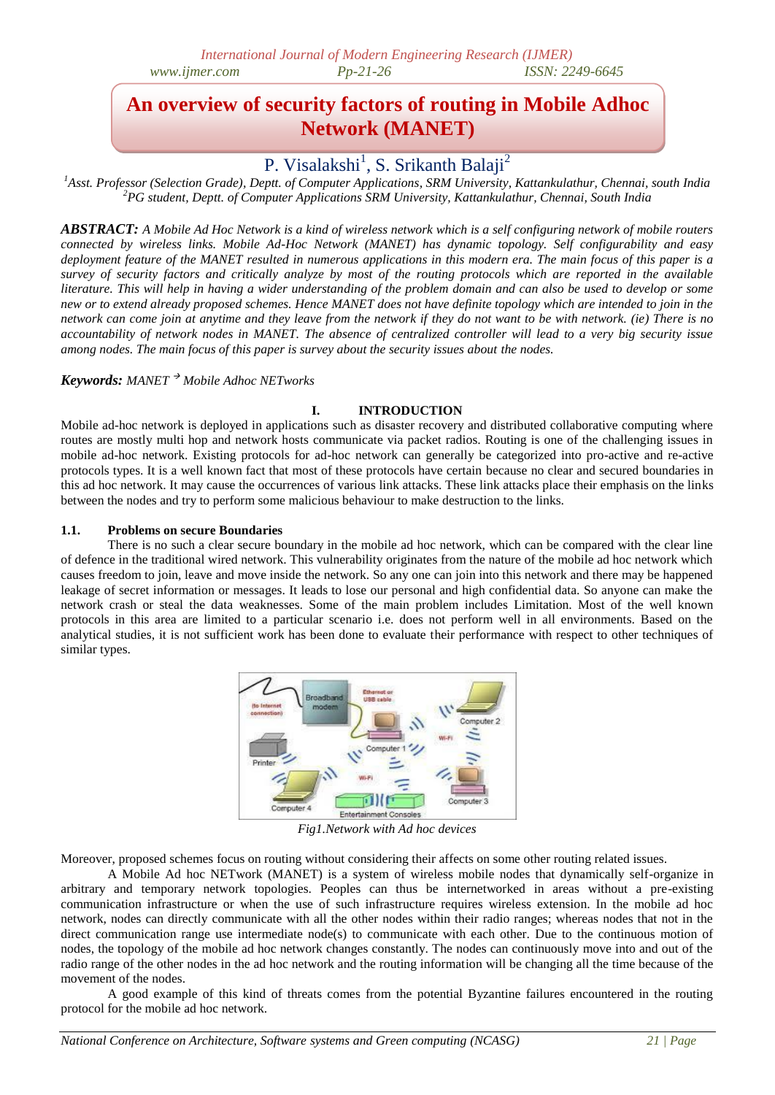# **An overview of security factors of routing in Mobile Adhoc Network (MANET)**

## P. Visalakshi<sup>1</sup>, S. Srikanth Balaji<sup>2</sup>

*<sup>1</sup>Asst. Professor (Selection Grade), Deptt. of Computer Applications, SRM University, Kattankulathur, Chennai, south India <sup>2</sup>PG student, Deptt. of Computer Applications SRM University, Kattankulathur, Chennai, South India*

*ABSTRACT: A Mobile Ad Hoc Network is a kind of wireless network which is a self configuring network of mobile routers connected by wireless links. Mobile Ad-Hoc Network (MANET) has dynamic topology. Self configurability and easy deployment feature of the MANET resulted in numerous applications in this modern era. The main focus of this paper is a survey of security factors and critically analyze by most of the routing protocols which are reported in the available literature. This will help in having a wider understanding of the problem domain and can also be used to develop or some new or to extend already proposed schemes. Hence MANET does not have definite topology which are intended to join in the network can come join at anytime and they leave from the network if they do not want to be with network. (ie) There is no accountability of network nodes in MANET. The absence of centralized controller will lead to a very big security issue among nodes. The main focus of this paper is survey about the security issues about the nodes.*

#### *Keywords: MANET Mobile Adhoc NETworks*

## **I. INTRODUCTION**

Mobile ad-hoc network is deployed in applications such as disaster recovery and distributed collaborative computing where routes are mostly multi hop and network hosts communicate via packet radios. Routing is one of the challenging issues in mobile ad-hoc network. Existing protocols for ad-hoc network can generally be categorized into pro-active and re-active protocols types. It is a well known fact that most of these protocols have certain because no clear and secured boundaries in this ad hoc network. It may cause the occurrences of various link attacks. These link attacks place their emphasis on the links between the nodes and try to perform some malicious behaviour to make destruction to the links.

#### **1.1. Problems on secure Boundaries**

There is no such a clear secure boundary in the mobile ad hoc network, which can be compared with the clear line of defence in the traditional wired network. This vulnerability originates from the nature of the mobile ad hoc network which causes freedom to join, leave and move inside the network. So any one can join into this network and there may be happened leakage of secret information or messages. It leads to lose our personal and high confidential data. So anyone can make the network crash or steal the data weaknesses. Some of the main problem includes Limitation. Most of the well known protocols in this area are limited to a particular scenario i.e. does not perform well in all environments. Based on the analytical studies, it is not sufficient work has been done to evaluate their performance with respect to other techniques of similar types.



*Fig1.Network with Ad hoc devices*

Moreover, proposed schemes focus on routing without considering their affects on some other routing related issues.

A Mobile Ad hoc NETwork (MANET) is a system of wireless mobile nodes that dynamically self-organize in arbitrary and temporary network topologies. Peoples can thus be internetworked in areas without a pre-existing communication infrastructure or when the use of such infrastructure requires wireless extension. In the mobile ad hoc network, nodes can directly communicate with all the other nodes within their radio ranges; whereas nodes that not in the direct communication range use intermediate node(s) to communicate with each other. Due to the continuous motion of nodes, the topology of the mobile ad hoc network changes constantly. The nodes can continuously move into and out of the radio range of the other nodes in the ad hoc network and the routing information will be changing all the time because of the movement of the nodes.

A good example of this kind of threats comes from the potential Byzantine failures encountered in the routing protocol for the mobile ad hoc network.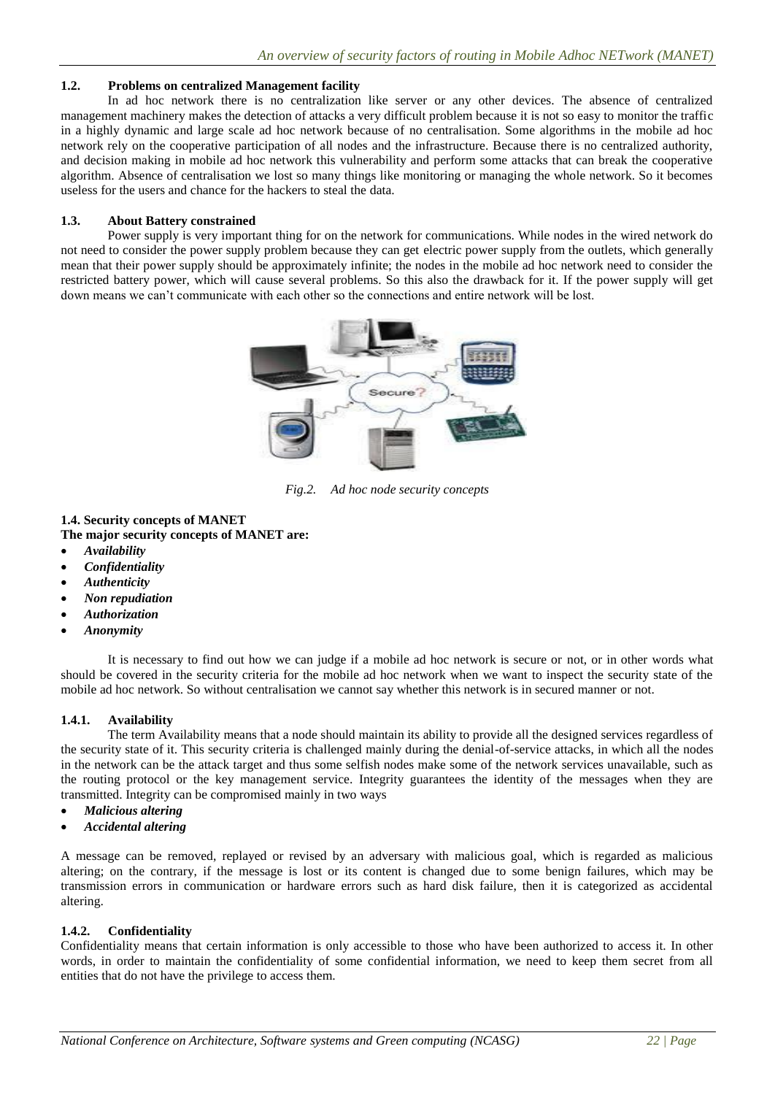#### **1.2. Problems on centralized Management facility**

In ad hoc network there is no centralization like server or any other devices. The absence of centralized management machinery makes the detection of attacks a very difficult problem because it is not so easy to monitor the traffic in a highly dynamic and large scale ad hoc network because of no centralisation. Some algorithms in the mobile ad hoc network rely on the cooperative participation of all nodes and the infrastructure. Because there is no centralized authority, and decision making in mobile ad hoc network this vulnerability and perform some attacks that can break the cooperative algorithm. Absence of centralisation we lost so many things like monitoring or managing the whole network. So it becomes useless for the users and chance for the hackers to steal the data.

#### **1.3. About Battery constrained**

Power supply is very important thing for on the network for communications. While nodes in the wired network do not need to consider the power supply problem because they can get electric power supply from the outlets, which generally mean that their power supply should be approximately infinite; the nodes in the mobile ad hoc network need to consider the restricted battery power, which will cause several problems. So this also the drawback for it. If the power supply will get down means we can't communicate with each other so the connections and entire network will be lost.



*Fig.2. Ad hoc node security concepts*

## **1.4. Security concepts of MANET**

## **The major security concepts of MANET are:**

- *Availability*
- *Confidentiality*
- *Authenticity*
- *Non repudiation*
- *Authorization*
- *Anonymity*

It is necessary to find out how we can judge if a mobile ad hoc network is secure or not, or in other words what should be covered in the security criteria for the mobile ad hoc network when we want to inspect the security state of the mobile ad hoc network. So without centralisation we cannot say whether this network is in secured manner or not.

#### **1.4.1. Availability**

The term Availability means that a node should maintain its ability to provide all the designed services regardless of the security state of it. This security criteria is challenged mainly during the denial-of-service attacks, in which all the nodes in the network can be the attack target and thus some selfish nodes make some of the network services unavailable, such as the routing protocol or the key management service. Integrity guarantees the identity of the messages when they are transmitted. Integrity can be compromised mainly in two ways

- *Malicious altering*
- *Accidental altering*

A message can be removed, replayed or revised by an adversary with malicious goal, which is regarded as malicious altering; on the contrary, if the message is lost or its content is changed due to some benign failures, which may be transmission errors in communication or hardware errors such as hard disk failure, then it is categorized as accidental altering.

#### **1.4.2. Confidentiality**

Confidentiality means that certain information is only accessible to those who have been authorized to access it. In other words, in order to maintain the confidentiality of some confidential information, we need to keep them secret from all entities that do not have the privilege to access them.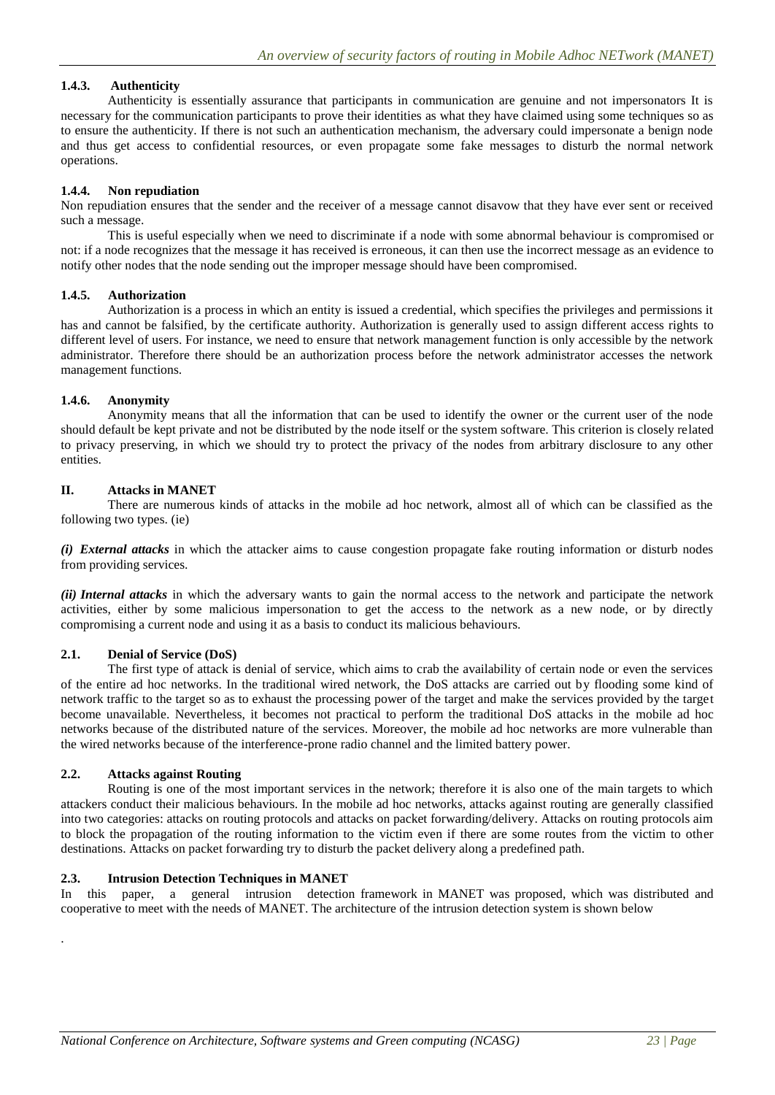## **1.4.3. Authenticity**

Authenticity is essentially assurance that participants in communication are genuine and not impersonators It is necessary for the communication participants to prove their identities as what they have claimed using some techniques so as to ensure the authenticity. If there is not such an authentication mechanism, the adversary could impersonate a benign node and thus get access to confidential resources, or even propagate some fake messages to disturb the normal network operations.

### **1.4.4. Non repudiation**

Non repudiation ensures that the sender and the receiver of a message cannot disavow that they have ever sent or received such a message.

This is useful especially when we need to discriminate if a node with some abnormal behaviour is compromised or not: if a node recognizes that the message it has received is erroneous, it can then use the incorrect message as an evidence to notify other nodes that the node sending out the improper message should have been compromised.

#### **1.4.5. Authorization**

Authorization is a process in which an entity is issued a credential, which specifies the privileges and permissions it has and cannot be falsified, by the certificate authority. Authorization is generally used to assign different access rights to different level of users. For instance, we need to ensure that network management function is only accessible by the network administrator. Therefore there should be an authorization process before the network administrator accesses the network management functions.

#### **1.4.6. Anonymity**

Anonymity means that all the information that can be used to identify the owner or the current user of the node should default be kept private and not be distributed by the node itself or the system software. This criterion is closely related to privacy preserving, in which we should try to protect the privacy of the nodes from arbitrary disclosure to any other entities.

#### **II. Attacks in MANET**

There are numerous kinds of attacks in the mobile ad hoc network, almost all of which can be classified as the following two types. (ie)

*(i) External attacks* in which the attacker aims to cause congestion propagate fake routing information or disturb nodes from providing services.

*(ii) Internal attacks* in which the adversary wants to gain the normal access to the network and participate the network activities, either by some malicious impersonation to get the access to the network as a new node, or by directly compromising a current node and using it as a basis to conduct its malicious behaviours.

#### **2.1. Denial of Service (DoS)**

The first type of attack is denial of service, which aims to crab the availability of certain node or even the services of the entire ad hoc networks. In the traditional wired network, the DoS attacks are carried out by flooding some kind of network traffic to the target so as to exhaust the processing power of the target and make the services provided by the target become unavailable. Nevertheless, it becomes not practical to perform the traditional DoS attacks in the mobile ad hoc networks because of the distributed nature of the services. Moreover, the mobile ad hoc networks are more vulnerable than the wired networks because of the interference-prone radio channel and the limited battery power.

#### **2.2. Attacks against Routing**

.

Routing is one of the most important services in the network; therefore it is also one of the main targets to which attackers conduct their malicious behaviours. In the mobile ad hoc networks, attacks against routing are generally classified into two categories: attacks on routing protocols and attacks on packet forwarding/delivery. Attacks on routing protocols aim to block the propagation of the routing information to the victim even if there are some routes from the victim to other destinations. Attacks on packet forwarding try to disturb the packet delivery along a predefined path.

#### **2.3. Intrusion Detection Techniques in MANET**

In this paper, a general intrusion detection framework in MANET was proposed, which was distributed and cooperative to meet with the needs of MANET. The architecture of the intrusion detection system is shown below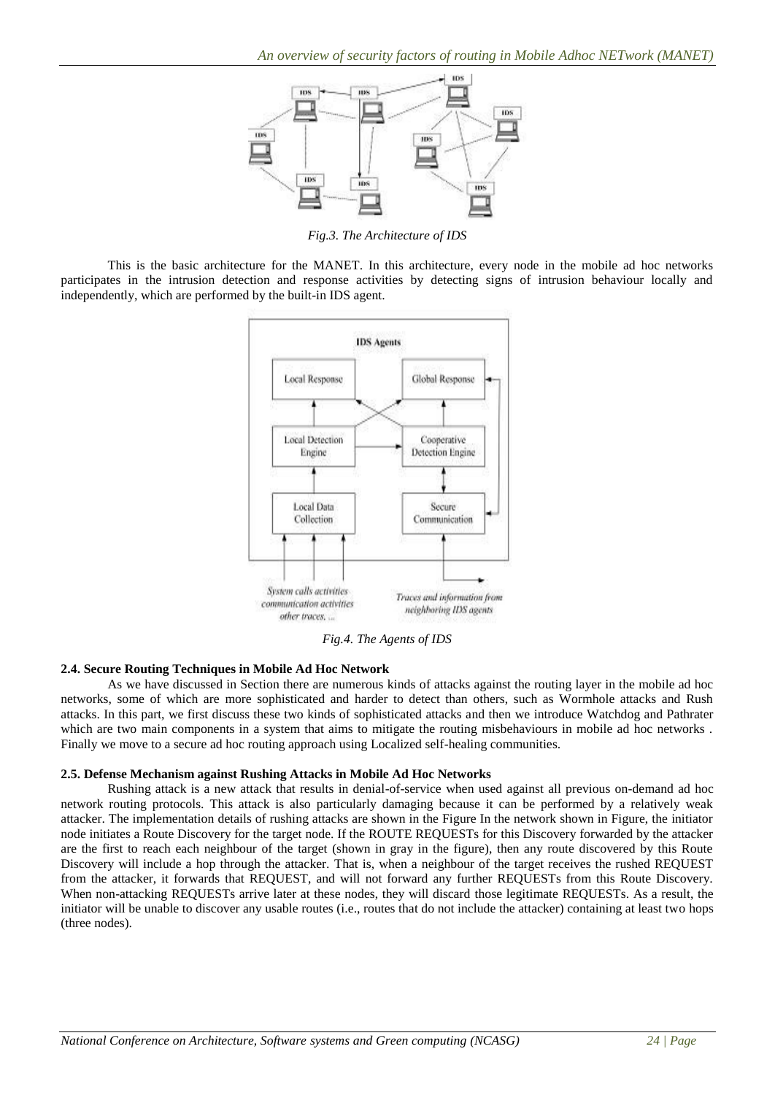

*Fig.3. The Architecture of IDS*

This is the basic architecture for the MANET. In this architecture, every node in the mobile ad hoc networks participates in the intrusion detection and response activities by detecting signs of intrusion behaviour locally and independently, which are performed by the built-in IDS agent.



*Fig.4. The Agents of IDS*

## **2.4. Secure Routing Techniques in Mobile Ad Hoc Network**

As we have discussed in Section there are numerous kinds of attacks against the routing layer in the mobile ad hoc networks, some of which are more sophisticated and harder to detect than others, such as Wormhole attacks and Rush attacks. In this part, we first discuss these two kinds of sophisticated attacks and then we introduce Watchdog and Pathrater which are two main components in a system that aims to mitigate the routing misbehaviours in mobile ad hoc networks. Finally we move to a secure ad hoc routing approach using Localized self-healing communities.

## **2.5. Defense Mechanism against Rushing Attacks in Mobile Ad Hoc Networks**

Rushing attack is a new attack that results in denial-of-service when used against all previous on-demand ad hoc network routing protocols. This attack is also particularly damaging because it can be performed by a relatively weak attacker. The implementation details of rushing attacks are shown in the Figure In the network shown in Figure, the initiator node initiates a Route Discovery for the target node. If the ROUTE REQUESTs for this Discovery forwarded by the attacker are the first to reach each neighbour of the target (shown in gray in the figure), then any route discovered by this Route Discovery will include a hop through the attacker. That is, when a neighbour of the target receives the rushed REQUEST from the attacker, it forwards that REQUEST, and will not forward any further REQUESTs from this Route Discovery. When non-attacking REQUESTs arrive later at these nodes, they will discard those legitimate REQUESTs. As a result, the initiator will be unable to discover any usable routes (i.e., routes that do not include the attacker) containing at least two hops (three nodes).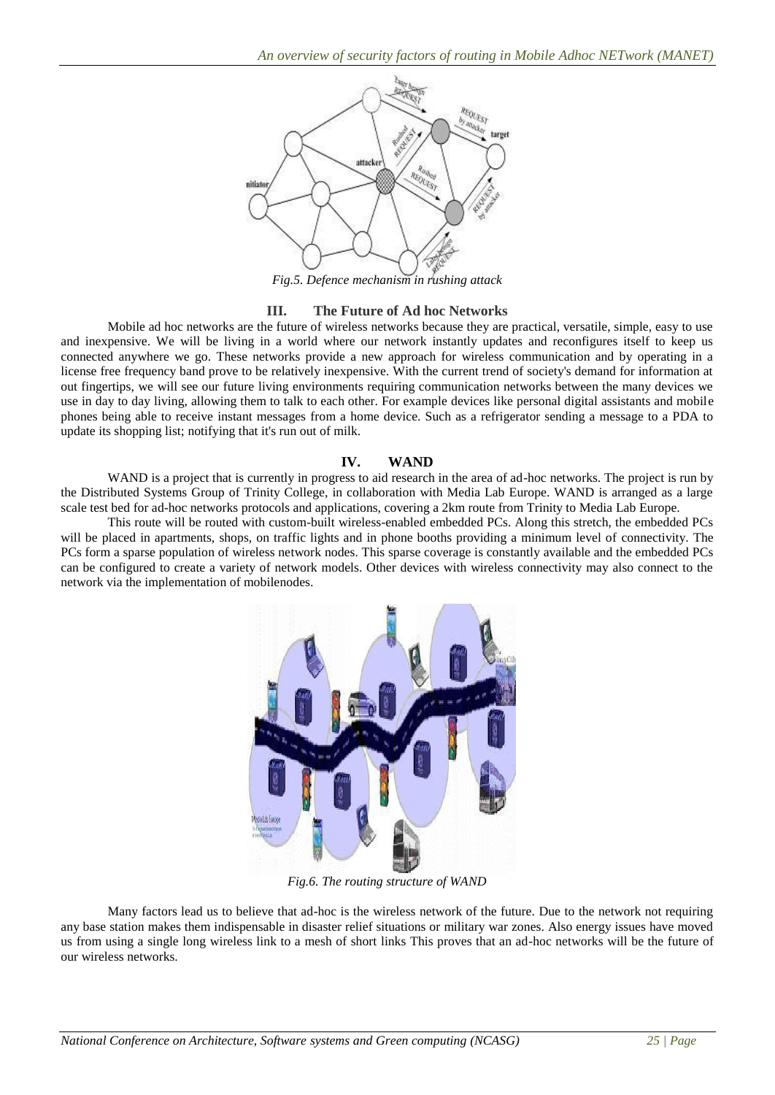

## **III. The Future of Ad hoc Networks**

Mobile ad hoc networks are the future of wireless networks because they are practical, versatile, simple, easy to use and inexpensive. We will be living in a world where our network instantly updates and reconfigures itself to keep us connected anywhere we go. These networks provide a new approach for wireless communication and by operating in a license free frequency band prove to be relatively inexpensive. With the current trend of society's demand for information at out fingertips, we will see our future living environments requiring communication networks between the many devices we use in day to day living, allowing them to talk to each other. For example devices like personal digital assistants and mobile phones being able to receive instant messages from a home device. Such as a refrigerator sending a message to a PDA to update its shopping list; notifying that it's run out of milk.

#### **IV. WAND**

WAND is a project that is currently in progress to aid research in the area of ad-hoc networks. The project is run by the Distributed Systems Group of Trinity College, in collaboration with Media Lab Europe. WAND is arranged as a large scale test bed for ad-hoc networks protocols and applications, covering a 2km route from Trinity to Media Lab Europe.

This route will be routed with custom-built wireless-enabled embedded PCs. Along this stretch, the embedded PCs will be placed in apartments, shops, on traffic lights and in phone booths providing a minimum level of connectivity. The PCs form a sparse population of wireless network nodes. This sparse coverage is constantly available and the embedded PCs can be configured to create a variety of network models. Other devices with wireless connectivity may also connect to the network via the implementation of mobilenodes.



*Fig.6. The routing structure of WAND*

Many factors lead us to believe that ad-hoc is the wireless network of the future. Due to the network not requiring any base station makes them indispensable in disaster relief situations or military war zones. Also energy issues have moved us from using a single long wireless link to a mesh of short links This proves that an ad-hoc networks will be the future of our wireless networks.